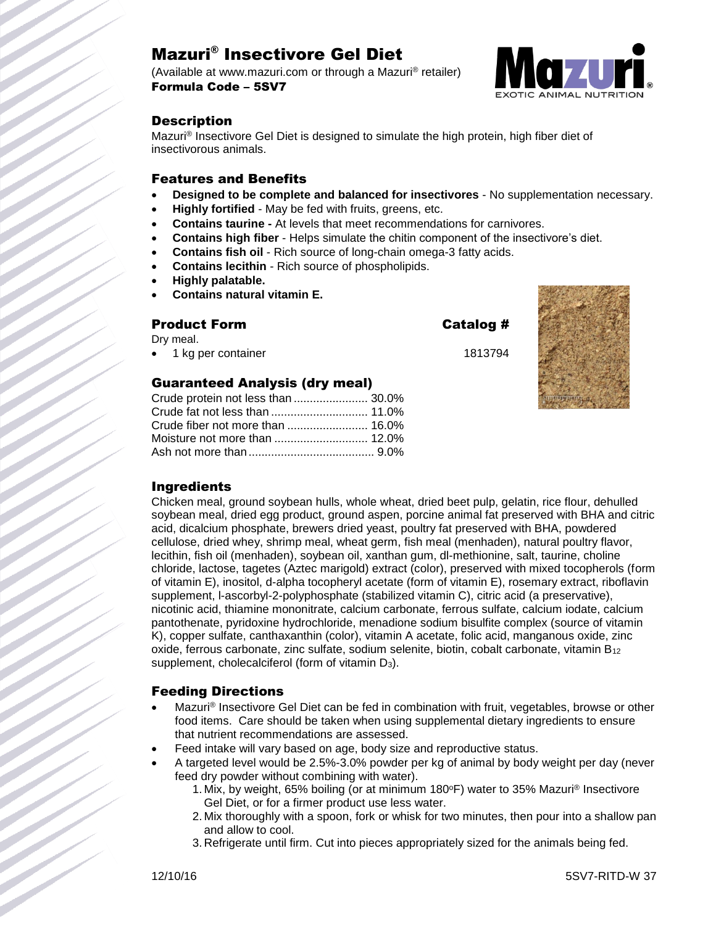# Mazuri® Insectivore Gel Diet

(Available at www.mazuri.com or through a Mazuri® retailer) Formula Code – 5SV7



# **Description**

Mazuri® Insectivore Gel Diet is designed to simulate the high protein, high fiber diet of insectivorous animals.

#### Features and Benefits

- **Designed to be complete and balanced for insectivores** No supplementation necessary.
- **Highly fortified** May be fed with fruits, greens, etc.
- **Contains taurine -** At levels that meet recommendations for carnivores.
- **Contains high fiber** Helps simulate the chitin component of the insectivore's diet.
- **Contains fish oil** Rich source of long-chain omega-3 fatty acids.
- **Contains lecithin** Rich source of phospholipids.
- **Highly palatable.**
- **Contains natural vitamin E.**

#### Product Form Catalog #

Dry meal.

1 kg per container 1813794

### Guaranteed Analysis (dry meal)

| Crude protein not less than  30.0% |  |
|------------------------------------|--|
|                                    |  |
|                                    |  |
|                                    |  |
|                                    |  |



# Ingredients

Chicken meal, ground soybean hulls, whole wheat, dried beet pulp, gelatin, rice flour, dehulled soybean meal, dried egg product, ground aspen, porcine animal fat preserved with BHA and citric acid, dicalcium phosphate, brewers dried yeast, poultry fat preserved with BHA, powdered cellulose, dried whey, shrimp meal, wheat germ, fish meal (menhaden), natural poultry flavor, lecithin, fish oil (menhaden), soybean oil, xanthan gum, dl-methionine, salt, taurine, choline chloride, lactose, tagetes (Aztec marigold) extract (color), preserved with mixed tocopherols (form of vitamin E), inositol, d-alpha tocopheryl acetate (form of vitamin E), rosemary extract, riboflavin supplement, l-ascorbyl-2-polyphosphate (stabilized vitamin C), citric acid (a preservative), nicotinic acid, thiamine mononitrate, calcium carbonate, ferrous sulfate, calcium iodate, calcium pantothenate, pyridoxine hydrochloride, menadione sodium bisulfite complex (source of vitamin K), copper sulfate, canthaxanthin (color), vitamin A acetate, folic acid, manganous oxide, zinc oxide, ferrous carbonate, zinc sulfate, sodium selenite, biotin, cobalt carbonate, vitamin B<sup>12</sup> supplement, cholecalciferol (form of vitamin D<sub>3</sub>).

### Feeding Directions

- Mazuri® Insectivore Gel Diet can be fed in combination with fruit, vegetables, browse or other food items. Care should be taken when using supplemental dietary ingredients to ensure that nutrient recommendations are assessed.
- Feed intake will vary based on age, body size and reproductive status.
- A targeted level would be 2.5%-3.0% powder per kg of animal by body weight per day (never feed dry powder without combining with water).
	- 1. Mix, by weight, 65% boiling (or at minimum 180°F) water to 35% Mazuri® Insectivore Gel Diet, or for a firmer product use less water.
	- 2. Mix thoroughly with a spoon, fork or whisk for two minutes, then pour into a shallow pan and allow to cool.
	- 3. Refrigerate until firm. Cut into pieces appropriately sized for the animals being fed.